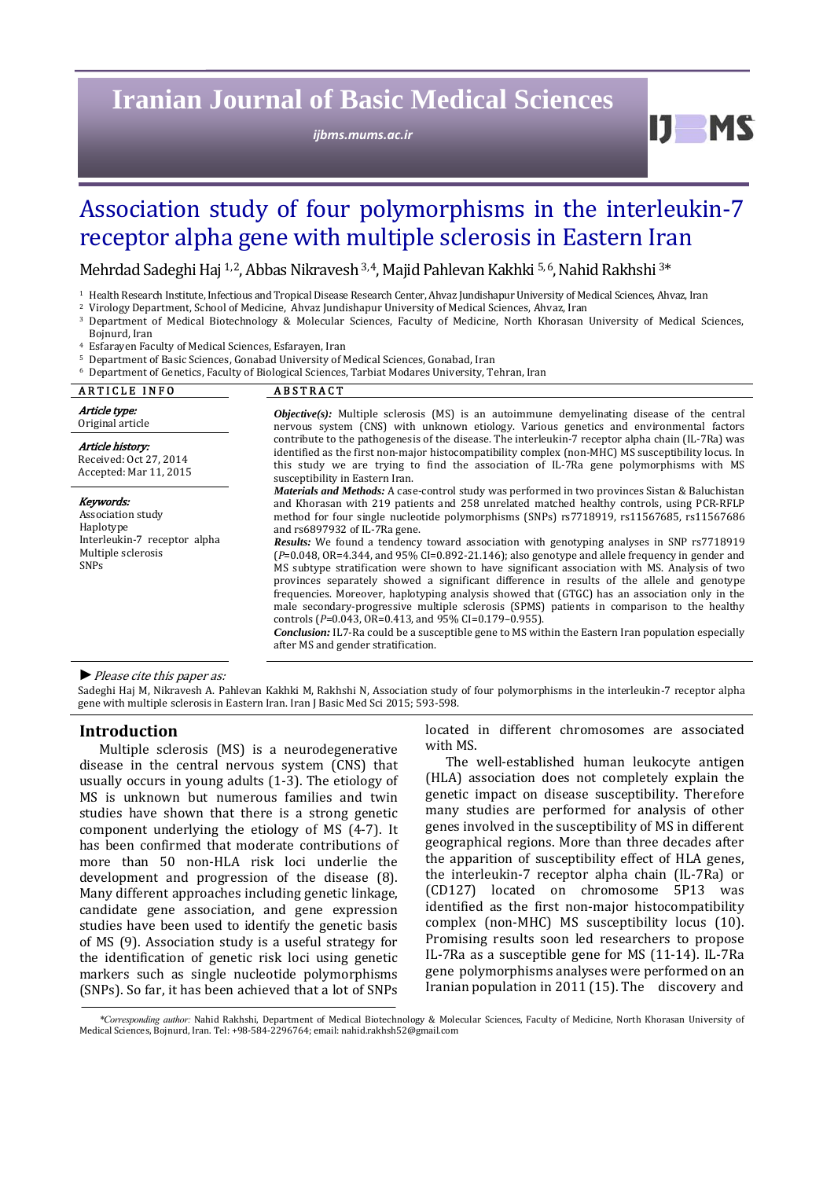# **Iranian Journal of Basic Medical Sciences**

*ijbms.mums.ac.ir*

# IJ. **MC**

# Association study of four polymorphisms in the interleukin-7 receptor alpha gene with multiple sclerosis in Eastern Iran

Mehrdad Sadeghi Haj <sup>1, 2</sup>, Abbas Nikravesh <sup>3, 4</sup>, Majid Pahlevan Kakhki <sup>5, 6</sup>, Nahid Rakhshi <sup>3\*</sup>

- <sup>1</sup> Health Research Institute, Infectious and Tropical Disease Research Center, Ahvaz Jundishapur University of Medical Sciences, Ahvaz, Iran
- <sup>2</sup> Virology Department, School of Medicine, Ahvaz Jundishapur University of Medical Sciences, Ahvaz, Iran
- <sup>3</sup> Department of Medical Biotechnology & Molecular Sciences, Faculty of Medicine, North Khorasan University of Medical Sciences, Bojnurd, Iran

Esfarayen Faculty of Medical Sciences, Esfarayen, Iran

- <sup>5</sup> Department of Basic Sciences, Gonabad University of Medical Sciences, Gonabad, Iran
- Department of Genetics, Faculty of Biological Sciences, Tarbiat Modares University, Tehran, Iran

| <b>ARTICLE INFO</b>                                                                                              | <b>ABSTRACT</b>                                                                                                                                                                                                                                                                                                                                                                                                                                                                                                                                                                                                                                                                                                                                                                                                                                                                                                                                                                                                                                                                                                                                                |  |  |  |
|------------------------------------------------------------------------------------------------------------------|----------------------------------------------------------------------------------------------------------------------------------------------------------------------------------------------------------------------------------------------------------------------------------------------------------------------------------------------------------------------------------------------------------------------------------------------------------------------------------------------------------------------------------------------------------------------------------------------------------------------------------------------------------------------------------------------------------------------------------------------------------------------------------------------------------------------------------------------------------------------------------------------------------------------------------------------------------------------------------------------------------------------------------------------------------------------------------------------------------------------------------------------------------------|--|--|--|
| Article type:<br>Original article                                                                                | <b><i>Objective(s)</i></b> : Multiple sclerosis (MS) is an autoimmune demyelinating disease of the central<br>nervous system (CNS) with unknown etiology. Various genetics and environmental factors                                                                                                                                                                                                                                                                                                                                                                                                                                                                                                                                                                                                                                                                                                                                                                                                                                                                                                                                                           |  |  |  |
| Article history:<br>Received: Oct 27, 2014<br>Accepted: Mar 11, 2015                                             | contribute to the pathogenesis of the disease. The interleukin-7 receptor alpha chain (IL-7Ra) was<br>identified as the first non-major histocompatibility complex (non-MHC) MS susceptibility locus. In<br>this study we are trying to find the association of IL-7Ra gene polymorphisms with MS<br>susceptibility in Eastern Iran.                                                                                                                                                                                                                                                                                                                                                                                                                                                                                                                                                                                                                                                                                                                                                                                                                           |  |  |  |
| Keywords:<br>Association study<br>Haplotype<br>Interleukin-7 receptor alpha<br>Multiple sclerosis<br><b>SNPs</b> | <i>Materials and Methods:</i> A case-control study was performed in two provinces Sistan & Baluchistan<br>and Khorasan with 219 patients and 258 unrelated matched healthy controls, using PCR-RFLP<br>method for four single nucleotide polymorphisms (SNPs) rs7718919, rs11567685, rs11567686<br>and rs6897932 of IL-7Ra gene.<br><b>Results:</b> We found a tendency toward association with genotyping analyses in SNP rs7718919<br>$(P=0.048, OR=4.344, and 95\% CI=0.892-21.146$ ; also genotype and allele frequency in gender and<br>MS subtype stratification were shown to have significant association with MS. Analysis of two<br>provinces separately showed a significant difference in results of the allele and genotype<br>frequencies. Moreover, haplotyping analysis showed that (GTGC) has an association only in the<br>male secondary-progressive multiple sclerosis (SPMS) patients in comparison to the healthy<br>controls ( $P=0.043$ , $OR=0.413$ , and $95\%$ CI=0.179-0.955).<br><b>Conclusion:</b> IL7-Ra could be a susceptible gene to MS within the Eastern Iran population especially<br>after MS and gender stratification. |  |  |  |

#### ▶ *Please cite this paper as:*

Sadeghi Haj M, Nikravesh A. Pahlevan Kakhki M, Rakhshi N, Association study of four polymorphisms in the interleukin-7 receptor alpha gene with multiple sclerosis in Eastern Iran. Iran J Basic Med Sci 2015; 593-598.

#### **Introduction**

Multiple sclerosis (MS) is a neurodegenerative disease in the central nervous system (CNS) that usually occurs in young adults  $(1-3)$ . The etiology of MS is unknown but numerous families and twin studies have shown that there is a strong genetic component underlying the etiology of MS (4-7). It has been confirmed that moderate contributions of more than 50 non-HLA risk loci underlie the development and progression of the disease (8). Many different approaches including genetic linkage, candidate gene association, and gene expression studies have been used to identify the genetic basis of MS (9). Association study is a useful strategy for the identification of genetic risk loci using genetic markers such as single nucleotide polymorphisms (SNPs). So far, it has been achieved that a lot of SNPs located in different chromosomes are associated with MS.

The well-established human leukocyte antigen (HLA) association does not completely explain the genetic impact on disease susceptibility. Therefore many studies are performed for analysis of other genes involved in the susceptibility of MS in different geographical regions. More than three decades after the apparition of susceptibility effect of HLA genes, the interleukin-7 receptor alpha chain (IL-7Ra) or (CD127) located on chromosome 5P13 was identified as the first non-major histocompatibility complex (non-MHC) MS susceptibility locus (10). Promising results soon led researchers to propose IL-7Ra as a susceptible gene for MS  $(11-14)$ . IL-7Ra gene polymorphisms analyses were performed on an Iranian population in 2011 (15). The discovery and

<sup>\*</sup>Corresponding author: Nahid Rakhshi, Department of Medical Biotechnology & Molecular Sciences, Faculty of Medicine, North Khorasan University of Medical Sciences, Bojnurd, Iran. Tel: +98-584-2296764; email: nahid.rakhsh52@gmail.com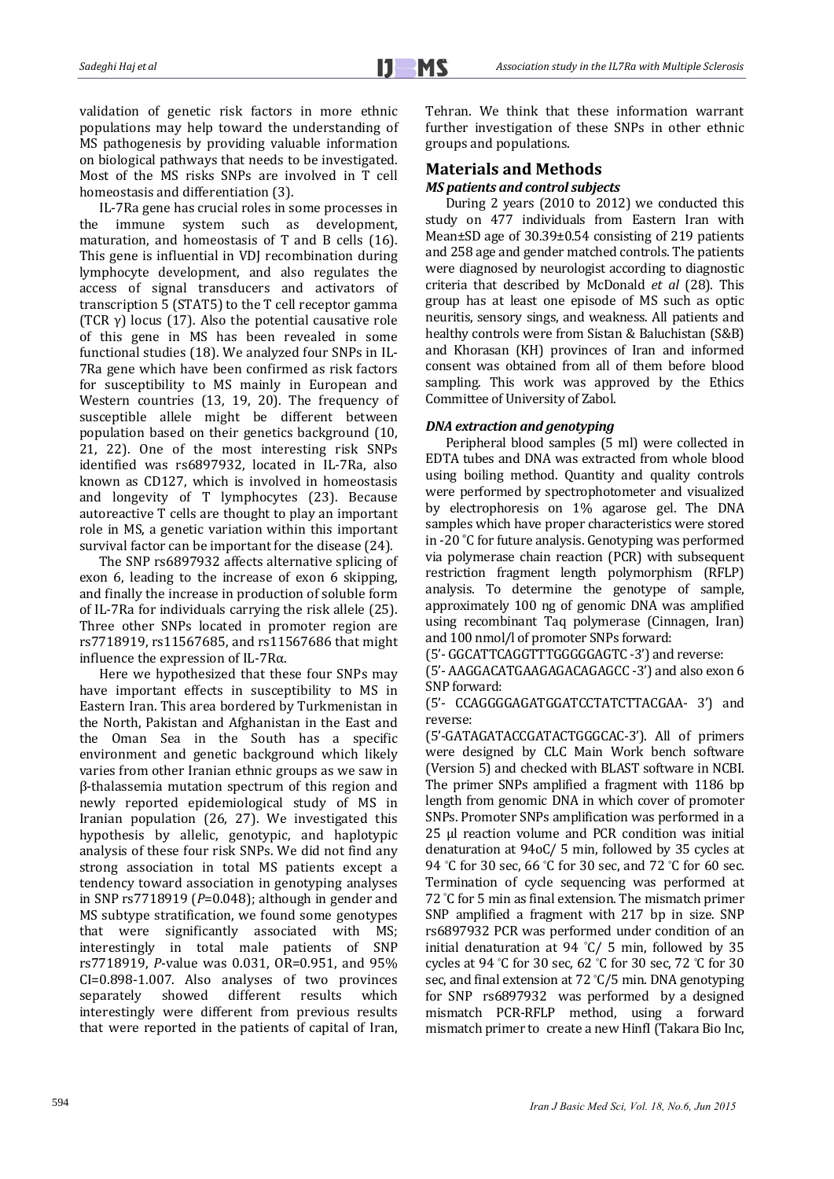validation of genetic risk factors in more ethnic populations may help toward the understanding of MS pathogenesis by providing valuable information on biological pathways that needs to be investigated. Most of the MS risks SNPs are involved in T cell homeostasis and differentiation (3).

IL-7Ra gene has crucial roles in some processes in the immune system such as development, maturation, and homeostasis of  $T$  and  $B$  cells (16). This gene is influential in VDI recombination during lymphocyte development, and also regulates the access of signal transducers and activators of transcription  $5$  (STAT5) to the T cell receptor gamma (TCR  $\gamma$ ) locus (17). Also the potential causative role of this gene in MS has been revealed in some functional studies (18). We analyzed four SNPs in IL-7Ra gene which have been confirmed as risk factors for susceptibility to MS mainly in European and Western countries  $(13, 19, 20)$ . The frequency of susceptible allele might be different between population based on their genetics background (10, 21, 22). One of the most interesting risk SNPs identified was rs6897932, located in IL-7Ra, also known as CD127, which is involved in homeostasis and longevity of T lymphocytes (23). Because autoreactive T cells are thought to play an important role in MS, a genetic variation within this important survival factor can be important for the disease (24).

The SNP rs6897932 affects alternative splicing of exon 6, leading to the increase of exon 6 skipping, and finally the increase in production of soluble form of IL-7Ra for individuals carrying the risk allele (25). Three other SNPs located in promoter region are rs7718919, rs11567685, and rs11567686 that might influence the expression of IL-7R $\alpha$ .

Here we hypothesized that these four SNPs may have important effects in susceptibility to MS in Eastern Iran. This area bordered by Turkmenistan in the North, Pakistan and Afghanistan in the East and the Oman Sea in the South has a specific environment and genetic background which likely varies from other Iranian ethnic groups as we saw in β‐thalassemia mutation spectrum of this region and newly reported epidemiological study of MS in Iranian population (26, 27). We investigated this hypothesis by allelic, genotypic, and haplotypic analysis of these four risk SNPs. We did not find any strong association in total MS patients except a tendency toward association in genotyping analyses in SNP  $rs7718919$  ( $P=0.048$ ); although in gender and MS subtype stratification, we found some genotypes that were significantly associated with MS; interestingly in total male patients of SNP rs7718919, *P*-value was 0.031, OR=0.951, and 95% CI=0.898-1.007. Also analyses of two provinces separately showed different results which interestingly were different from previous results that were reported in the patients of capital of Iran, Tehran. We think that these information warrant further investigation of these SNPs in other ethnic groups and populations.

# **Materials and Methods**

## *MS patients and control subjects*

During 2 years  $(2010 \text{ to } 2012)$  we conducted this study on 477 individuals from Eastern Iran with Mean±SD age of 30.39±0.54 consisting of 219 patients and 258 age and gender matched controls. The patients were diagnosed by neurologist according to diagnostic criteria that described by McDonald *et al* (28). This group has at least one episode of MS such as optic neuritis, sensory sings, and weakness. All patients and healthy controls were from Sistan & Baluchistan (S&B) and Khorasan (KH) provinces of Iran and informed consent was obtained from all of them before blood sampling. This work was approved by the Ethics Committee of University of Zabol.

# *DNA extraction and genotyping*

Peripheral blood samples (5 ml) were collected in EDTA tubes and DNA was extracted from whole blood using boiling method. Quantity and quality controls were performed by spectrophotometer and visualized by electrophoresis on 1% agarose gel. The DNA samples which have proper characteristics were stored in  $-20$  °C for future analysis. Genotyping was performed via polymerase chain reaction (PCR) with subsequent restriction fragment length polymorphism (RFLP) analysis. To determine the genotype of sample, approximately 100 ng of genomic DNA was amplified using recombinant Taq polymerase (Cinnagen, Iran) and 100 nmol/l of promoter SNPs forward:

(5'- GGCATTCAGGTTTGGGGGAGTC -3') and reverse:

(5'- AAGGACATGAAGAGACAGAGCC -3') and also exon 6 SNP forward:

(5'‐ CCAGGGGAGATGGATCCTATCTTACGAA‐ 3') and reverse: 

(5'‐GATAGATACCGATACTGGGCAC‐3'). All of primers were designed by CLC Main Work bench software (Version 5) and checked with BLAST software in NCBI. The primer SNPs amplified a fragment with 1186 bp. length from genomic DNA in which cover of promoter SNPs. Promoter SNPs amplification was performed in a 25 µl reaction volume and PCR condition was initial denaturation at 94oC/ 5 min, followed by 35 cycles at 94 °C for 30 sec, 66 °C for 30 sec, and 72 °C for 60 sec. Termination of cycle sequencing was performed at 72 °C for 5 min as final extension. The mismatch primer SNP amplified a fragment with 217 bp in size. SNP rs6897932 PCR was performed under condition of an initial denaturation at  $94 °C/ 5$  min, followed by 35 cycles at 94 °C for 30 sec, 62 °C for 30 sec, 72 °C for 30 sec, and final extension at 72 °C/5 min. DNA genotyping for SNP  $rs6897932$  was performed by a designed mismatch PCR-RFLP method, using a forward mismatch primer to create a new HinfI (Takara Bio Inc,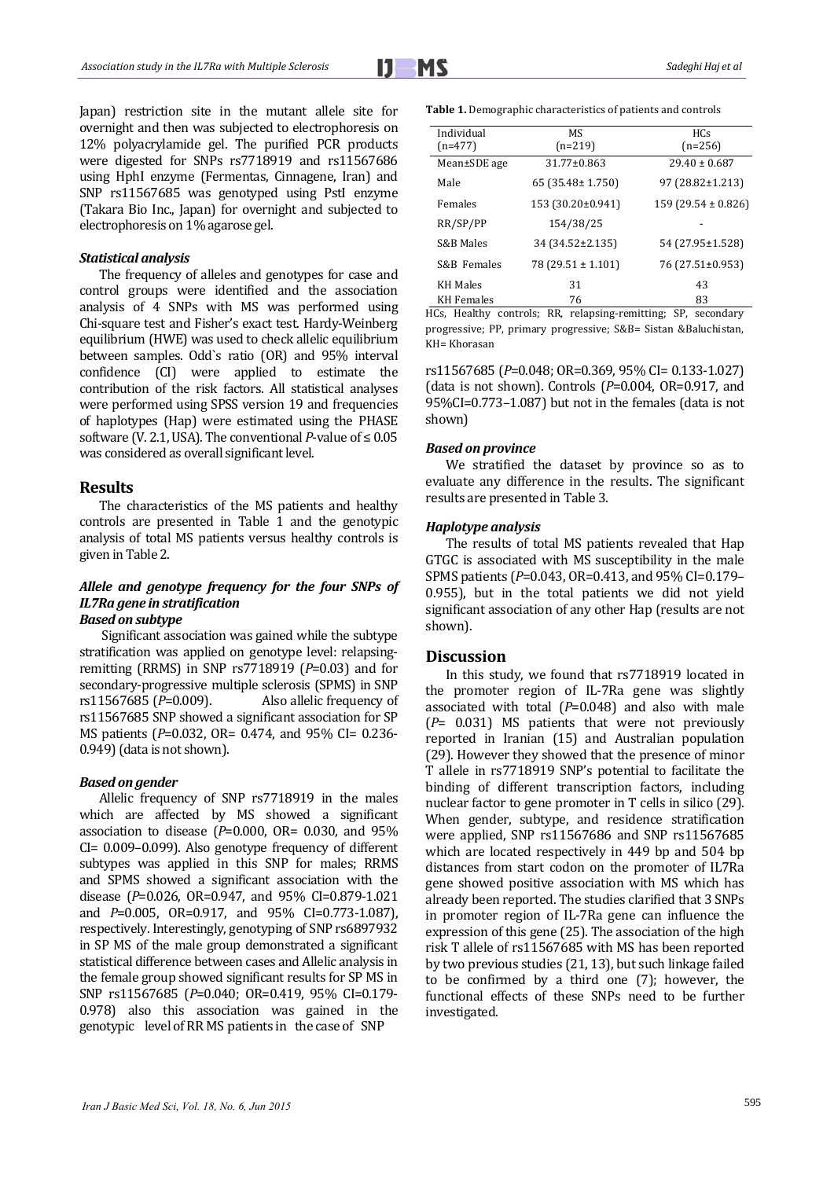

Japan) restriction site in the mutant allele site for overnight and then was subjected to electrophoresis on 12% polyacrylamide gel. The purified PCR products were digested for SNPs rs7718919 and rs11567686 using HphI enzyme (Fermentas, Cinnagene, Iran) and SNP rs11567685 was genotyped using PstI enzyme (Takara Bio Inc., Japan) for overnight and subjected to electrophoresis on 1% agarose gel.

#### *Statistical analysis*

The frequency of alleles and genotypes for case and control groups were identified and the association analysis of 4 SNPs with MS was performed using Chi-square test and Fisher's exact test. Hardy-Weinberg equilibrium (HWE) was used to check allelic equilibrium between samples. Odd`s ratio (OR) and 95% interval confidence (CI) were applied to estimate the contribution of the risk factors. All statistical analyses were performed using SPSS version 19 and frequencies of haplotypes (Hap) were estimated using the PHASE software (V. 2.1, USA). The conventional *P*-value of  $\leq 0.05$ was considered as overall significant level.

### **Results**

The characteristics of the MS patients and healthy controls are presented in Table 1 and the genotypic analysis of total MS patients versus healthy controls is given in Table 2.

#### *Allele and genotype frequency for the four SNPs of IL7Ra gene in stratification Based on subtype*

Significant association was gained while the subtype stratification was applied on genotype level: relapsingremitting (RRMS) in SNP  $rs7718919$  ( $P=0.03$ ) and for secondary-progressive multiple sclerosis (SPMS) in SNP rs11567685 ( $P=0.009$ ). Also allelic frequency of rs11567685 SNP showed a significant association for SP MS patients (*P*=0.032, OR= 0.474, and 95% CI= 0.236- $0.949$ ) (data is not shown).

#### *Based on gender*

Allelic frequency of SNP rs7718919 in the males which are affected by MS showed a significant association to disease  $(P=0.000, \text{ OR}=.0.030, \text{ and } 95\%$  $CI = 0.009 - 0.099$ . Also genotype frequency of different subtypes was applied in this SNP for males; RRMS and SPMS showed a significant association with the disease ( $P=0.026$ , OR=0.947, and 95% CI=0.879-1.021 and *P*=0.005, OR=0.917, and 95% CI=0.773-1.087), respectively. Interestingly, genotyping of SNP rs6897932 in SP MS of the male group demonstrated a significant statistical difference between cases and Allelic analysis in the female group showed significant results for SP MS in SNP rs11567685 (P=0.040; OR=0.419, 95% CI=0.179-0.978) also this association was gained in the genotypic level of RR MS patients in the case of SNP

Table 1. Demographic characteristics of patients and controls

| Individual        | <b>MS</b>             | <b>HCs</b>             |  |  |
|-------------------|-----------------------|------------------------|--|--|
| $(n=477)$         | $(n=219)$             | $(n=256)$              |  |  |
| Mean±SDE age      | $31.77 \pm 0.863$     | $29.40 \pm 0.687$      |  |  |
| Male              | 65 (35.48± 1.750)     | $97(28.82 \pm 1.213)$  |  |  |
| Females           | 153 (30.20±0.941)     | $159(29.54 \pm 0.826)$ |  |  |
| RR/SP/PP          | 154/38/25             |                        |  |  |
| S&B Males         | 34 (34.52±2.135)      | 54 (27.95±1.528)       |  |  |
| S&B Females       | $78(29.51 \pm 1.101)$ | 76 (27.51±0.953)       |  |  |
| <b>KH Males</b>   | 31                    | 43                     |  |  |
| <b>KH</b> Females | 76                    | 83                     |  |  |

HCs, Healthy controls; RR, relapsing-remitting; SP, secondary progressive; PP, primary progressive; S&B= Sistan &Baluchistan, KH= Khorasan 

rs11567685 (*P*=0.048; OR=0.369, 95% CI= 0.133‐1.027) (data is not shown). Controls  $(P=0.004, 0R=0.917,$  and  $95\%$ CI=0.773-1.087) but not in the females (data is not shown) 

#### *Based on province*

We stratified the dataset by province so as to evaluate any difference in the results. The significant results are presented in Table 3.

#### *Haplotype analysis*

The results of total MS patients revealed that Hap GTGC is associated with MS susceptibility in the male SPMS patients (P=0.043, OR=0.413, and 95% CI=0.179– 0.955), but in the total patients we did not yield significant association of any other Hap (results are not shown). 

#### **Discussion**

In this study, we found that rs7718919 located in the promoter region of IL-7Ra gene was slightly associated with total  $(P=0.048)$  and also with male  $(P= 0.031)$  MS patients that were not previously reported in Iranian (15) and Australian population (29). However they showed that the presence of minor T allele in rs7718919 SNP's potential to facilitate the binding of different transcription factors, including nuclear factor to gene promoter in T cells in silico (29). When gender, subtype, and residence stratification were applied, SNP rs11567686 and SNP rs11567685 which are located respectively in 449 bp and 504 bp distances from start codon on the promoter of IL7Ra gene showed positive association with MS which has already been reported. The studies clarified that 3 SNPs in promoter region of IL-7Ra gene can influence the expression of this gene  $(25)$ . The association of the high risk T allele of rs11567685 with MS has been reported by two previous studies (21, 13), but such linkage failed to be confirmed by a third one  $(7)$ ; however, the functional effects of these SNPs need to be further investigated.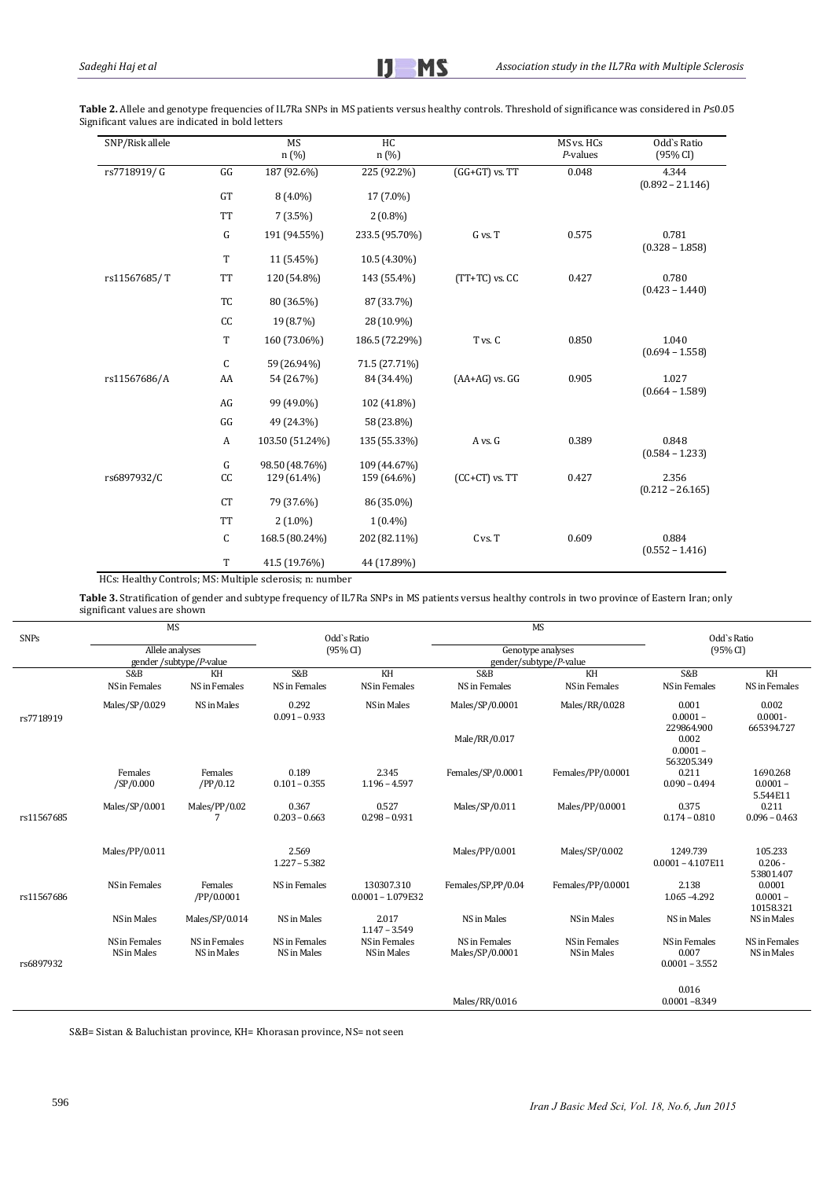Table 2. Allele and genotype frequencies of IL7Ra SNPs in MS patients versus healthy controls. Threshold of significance was considered in *P*≤0.05 Significant values are indicated in bold letters

| SNP/Risk allele |           | <b>MS</b><br>n (%) | HC<br>n(%)     |                    | MS vs. HCs<br>$P$ -values | Odd's Ratio<br>(95% CI)     |
|-----------------|-----------|--------------------|----------------|--------------------|---------------------------|-----------------------------|
| rs7718919/G     | GG        | 187 (92.6%)        | 225 (92.2%)    | $(GG+GT)$ vs. $TT$ | 0.048                     | 4.344<br>$(0.892 - 21.146)$ |
|                 | GT        | $8(4.0\%)$         | 17 (7.0%)      |                    |                           |                             |
|                 | <b>TT</b> | $7(3.5\%)$         | $2(0.8\%)$     |                    |                           |                             |
|                 | G         | 191 (94.55%)       | 233.5 (95.70%) | G vs. T            | 0.575                     | 0.781<br>$(0.328 - 1.858)$  |
|                 | T         | 11 (5.45%)         | 10.5 (4.30%)   |                    |                           |                             |
| rs11567685/T    | <b>TT</b> | 120 (54.8%)        | 143 (55.4%)    | $(TT+TC)$ vs. $CC$ | 0.427                     | 0.780<br>$(0.423 - 1.440)$  |
|                 | TC        | 80 (36.5%)         | 87 (33.7%)     |                    |                           |                             |
|                 | CC        | 19 (8.7%)          | 28 (10.9%)     |                    |                           |                             |
|                 | T         | 160 (73.06%)       | 186.5 (72.29%) | T vs. C            | 0.850                     | 1.040<br>$(0.694 - 1.558)$  |
|                 | C         | 59 (26.94%)        | 71.5 (27.71%)  |                    |                           |                             |
| rs11567686/A    | AA        | 54 (26.7%)         | 84 (34.4%)     | $(AA+AG)$ vs. $GG$ | 0.905                     | 1.027<br>$(0.664 - 1.589)$  |
|                 | AG        | 99 (49.0%)         | 102 (41.8%)    |                    |                           |                             |
|                 | GG        | 49 (24.3%)         | 58 (23.8%)     |                    |                           |                             |
|                 | A         | 103.50 (51.24%)    | 135 (55.33%)   | A vs. G            | 0.389                     | 0.848<br>$(0.584 - 1.233)$  |
|                 | G         | 98.50 (48.76%)     | 109 (44.67%)   |                    |                           |                             |
| rs6897932/C     | CC        | 129 (61.4%)        | 159 (64.6%)    | $(CC+CT)$ vs. $TT$ | 0.427                     | 2.356<br>$(0.212 - 26.165)$ |
|                 | <b>CT</b> | 79 (37.6%)         | 86 (35.0%)     |                    |                           |                             |
|                 | <b>TT</b> | $2(1.0\%)$         | $1(0.4\%)$     |                    |                           |                             |
|                 | C         | 168.5 (80.24%)     | 202 (82.11%)   | C vs. T            | 0.609                     | 0.884<br>$(0.552 - 1.416)$  |
|                 | T         | 41.5 (19.76%)      | 44 (17.89%)    |                    |                           |                             |

HCs: Healthy Controls; MS: Multiple sclerosis; n: number

Table 3. Stratification of gender and subtype frequency of IL7Ra SNPs in MS patients versus healthy controls in two province of Eastern Iran; only significant values are shown

|             |                         | <b>MS</b>             |                          |                                   |                        | <b>MS</b>         |                                   |                                    |
|-------------|-------------------------|-----------------------|--------------------------|-----------------------------------|------------------------|-------------------|-----------------------------------|------------------------------------|
| <b>SNPs</b> |                         |                       | Odd's Ratio              |                                   |                        |                   | Odd's Ratio                       |                                    |
|             | Allele analyses         |                       | (95% CI)                 |                                   | Genotype analyses      |                   | (95% CI)                          |                                    |
|             | gender /subtype/P-value |                       |                          |                                   | gender/subtype/P-value |                   |                                   |                                    |
|             | S&B                     | KH                    | S&B                      | KH                                | S&B                    | KH                | S&B                               | KH                                 |
|             | NS in Females           | NS in Females         | NS in Females            | NS in Females                     | NS in Females          | NS in Females     | NS in Females                     | NS in Females                      |
| rs7718919   | Males/SP/0.029          | NS in Males           | 0.292<br>$0.091 - 0.933$ | NS in Males                       | Males/SP/0.0001        | Males/RR/0.028    | 0.001<br>$0.0001 -$<br>229864.900 | 0.002<br>$0.0001 -$<br>665394.727  |
|             |                         |                       |                          |                                   | Male/RR/0.017          |                   | 0.002<br>$0.0001 -$<br>563205.349 |                                    |
|             | Females<br>/SP/0.000    | Females<br>/PP/0.12   | 0.189<br>$0.101 - 0.355$ | 2.345<br>$1.196 - 4.597$          | Females/SP/0.0001      | Females/PP/0.0001 | 0.211<br>$0.090 - 0.494$          | 1690.268<br>$0.0001 -$<br>5.544E11 |
| rs11567685  | Males/SP/0.001          | Males/PP/0.02         | 0.367<br>$0.203 - 0.663$ | 0.527<br>$0.298 - 0.931$          | Males/SP/0.011         | Males/PP/0.0001   | 0.375<br>$0.174 - 0.810$          | 0.211<br>$0.096 - 0.463$           |
|             | Males/PP/0.011          |                       | 2.569<br>$1.227 - 5.382$ |                                   | Males/PP/0.001         | Males/SP/0.002    | 1249.739<br>$0.0001 - 4.107E11$   | 105.233<br>$0.206 -$<br>53801.407  |
| rs11567686  | NS in Females           | Females<br>/PP/0.0001 | NS in Females            | 130307.310<br>$0.0001 - 1.079E32$ | Females/SP,PP/0.04     | Females/PP/0.0001 | 2.138<br>1.065-4.292              | 0.0001<br>$0.0001 -$<br>10158.321  |
|             | NS in Males             | Males/SP/0.014        | NS in Males              | 2.017<br>$1.147 - 3.549$          | NS in Males            | NS in Males       | NS in Males                       | NS in Males                        |
|             | NS in Females           | NS in Females         | NS in Females            | NS in Females                     | NS in Females          | NS in Females     | NS in Females                     | NS in Females                      |
|             | NS in Males             | NS in Males           | NS in Males              | NS in Males                       | Males/SP/0.0001        | NS in Males       | 0.007                             | NS in Males                        |
| rs6897932   |                         |                       |                          |                                   |                        |                   | $0.0001 - 3.552$                  |                                    |
|             |                         |                       |                          |                                   |                        |                   |                                   |                                    |
|             |                         |                       |                          |                                   |                        |                   | 0.016                             |                                    |
|             |                         |                       |                          |                                   | Males/RR/0.016         |                   | $0.0001 - 8.349$                  |                                    |
|             |                         |                       |                          |                                   |                        |                   |                                   |                                    |

S&B= Sistan & Baluchistan province, KH= Khorasan province, NS= not seen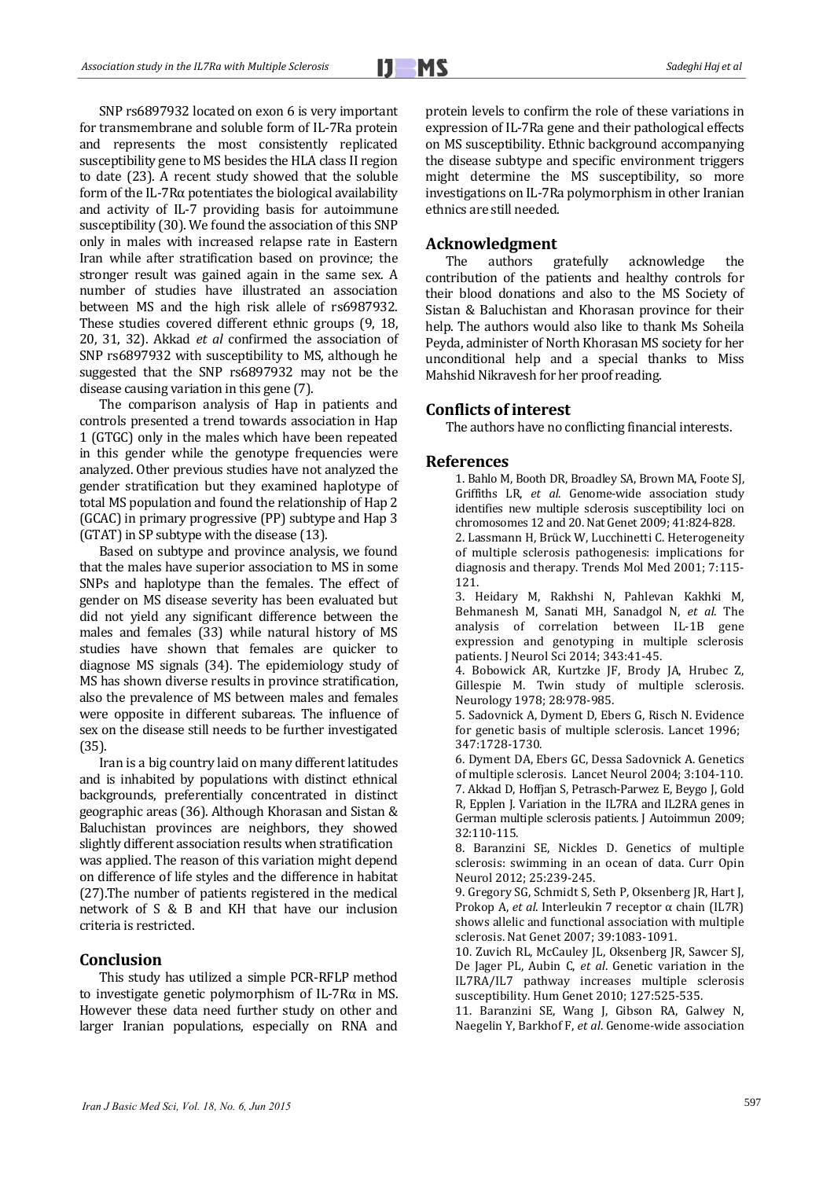SNP rs6897932 located on exon 6 is very important for transmembrane and soluble form of IL-7Ra protein and represents the most consistently replicated susceptibility gene to MS besides the HLA class II region to date (23). A recent study showed that the soluble form of the IL-7R $\alpha$  potentiates the biological availability and activity of IL-7 providing basis for autoimmune susceptibility (30). We found the association of this SNP only in males with increased relapse rate in Eastern Iran while after stratification based on province; the stronger result was gained again in the same sex. A number of studies have illustrated an association between MS and the high risk allele of rs6987932. These studies covered different ethnic groups (9, 18, 20, 31, 32). Akkad *et al* confirmed the association of SNP rs6897932 with susceptibility to MS, although he suggested that the SNP rs6897932 may not be the disease causing variation in this gene  $(7)$ .

The comparison analysis of Hap in patients and controls presented a trend towards association in Hap 1 (GTGC) only in the males which have been repeated in this gender while the genotype frequencies were analyzed. Other previous studies have not analyzed the gender stratification but they examined haplotype of total MS population and found the relationship of Hap 2 (GCAC) in primary progressive (PP) subtype and Hap 3  $(GTAT)$  in SP subtype with the disease  $(13)$ .

Based on subtype and province analysis, we found that the males have superior association to MS in some SNPs and haplotype than the females. The effect of gender on MS disease severity has been evaluated but did not yield any significant difference between the males and females (33) while natural history of MS studies have shown that females are quicker to diagnose MS signals (34). The epidemiology study of MS has shown diverse results in province stratification, also the prevalence of MS between males and females were opposite in different subareas. The influence of sex on the disease still needs to be further investigated (35). 

Iran is a big country laid on many different latitudes and is inhabited by populations with distinct ethnical backgrounds, preferentially concentrated in distinct geographic areas (36). Although Khorasan and Sistan & Baluchistan provinces are neighbors, they showed slightly different association results when stratification was applied. The reason of this variation might depend on difference of life styles and the difference in habitat  $(27)$ . The number of patients registered in the medical network of S & B and KH that have our inclusion criteria is restricted.

# **Conclusion**

This study has utilized a simple PCR-RFLP method to investigate genetic polymorphism of IL-7R $\alpha$  in MS. However these data need further study on other and larger Iranian populations, especially on RNA and protein levels to confirm the role of these variations in expression of IL-7Ra gene and their pathological effects on MS susceptibility. Ethnic background accompanying the disease subtype and specific environment triggers might determine the MS susceptibility, so more investigations on IL-7Ra polymorphism in other Iranian ethnics are still needed.

#### **Acknowledgment**

The authors gratefully acknowledge the contribution of the patients and healthy controls for their blood donations and also to the MS Society of Sistan & Baluchistan and Khorasan province for their help. The authors would also like to thank Ms Soheila Peyda, administer of North Khorasan MS society for her unconditional help and a special thanks to Miss Mahshid Nikravesh for her proof reading.

## **Conflicts of interest**

The authors have no conflicting financial interests.

#### **References**

1. Bahlo M, Booth DR, Broadley SA, Brown MA, Foote SJ, Griffiths LR, et al. Genome-wide association study identifies new multiple sclerosis susceptibility loci on chromosomes 12 and 20. Nat Genet 2009; 41:824‐828. 

2. Lassmann H, Brück W, Lucchinetti C. Heterogeneity of multiple sclerosis pathogenesis: implications for diagnosis and therapy. Trends Mol Med 2001; 7:115-121. 

3. Heidary M, Rakhshi N, Pahlevan Kakhki M, Behmanesh M, Sanati MH, Sanadgol N, et al. The analysis of correlation between IL-1B gene expression and genotyping in multiple sclerosis patients. J Neurol Sci 2014; 343:41-45.

4. Bobowick AR, Kurtzke JF, Brody JA, Hrubec Z, Gillespie M. Twin study of multiple sclerosis. Neurology 1978; 28:978‐985. 

5. Sadovnick A, Dyment D, Ebers G, Risch N. Evidence for genetic basis of multiple sclerosis. Lancet 1996: 347:1728‐1730. 

6. Dyment DA, Ebers GC, Dessa Sadovnick A. Genetics of multiple sclerosis. Lancet Neurol 2004; 3:104-110. 7. Akkad D, Hoffjan S, Petrasch-Parwez E, Beygo J, Gold R, Epplen J. Variation in the IL7RA and IL2RA genes in German multiple sclerosis patients. J Autoimmun 2009; 32:110‐115. 

8. Baranzini SE, Nickles D. Genetics of multiple sclerosis: swimming in an ocean of data. Curr Opin Neurol 2012; 25:239-245.

9. Gregory SG, Schmidt S, Seth P, Oksenberg JR, Hart J, Prokop A, *et al*. Interleukin 7 receptor α chain (IL7R) shows allelic and functional association with multiple sclerosis. Nat Genet 2007; 39:1083-1091.

10. Zuvich RL, McCauley JL, Oksenberg JR, Sawcer SJ, De Jager PL, Aubin C, et al. Genetic variation in the IL7RA/IL7 pathway increases multiple sclerosis susceptibility. Hum Genet 2010; 127:525-535.

11. Baranzini SE, Wang J, Gibson RA, Galwey N, Naegelin Y, Barkhof F, *et al*. Genome-wide association